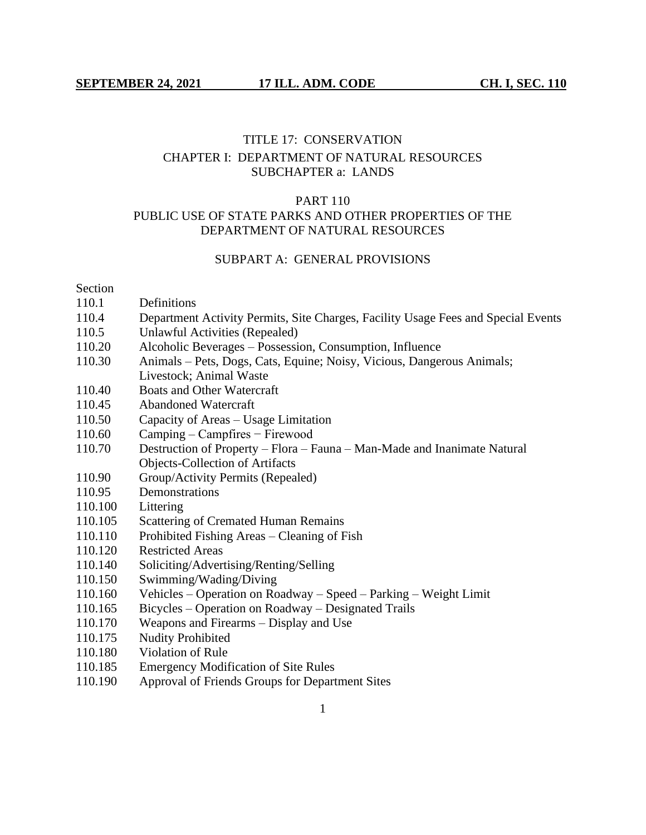# TITLE 17: CONSERVATION CHAPTER I: DEPARTMENT OF NATURAL RESOURCES SUBCHAPTER a: LANDS

# PART 110 PUBLIC USE OF STATE PARKS AND OTHER PROPERTIES OF THE DEPARTMENT OF NATURAL RESOURCES

#### SUBPART A: GENERAL PROVISIONS

#### Section

- 110.1 Definitions
- 110.4 Department Activity Permits, Site Charges, Facility Usage Fees and Special Events
- 110.5 Unlawful Activities (Repealed)
- 110.20 Alcoholic Beverages Possession, Consumption, Influence
- 110.30 Animals Pets, Dogs, Cats, Equine; Noisy, Vicious, Dangerous Animals; Livestock; Animal Waste
- 110.40 Boats and Other Watercraft
- 110.45 Abandoned Watercraft
- 110.50 Capacity of Areas Usage Limitation
- 110.60 Camping Campfires − Firewood
- 110.70 Destruction of Property Flora Fauna Man-Made and Inanimate Natural Objects-Collection of Artifacts
- 110.90 Group/Activity Permits (Repealed)
- 110.95 Demonstrations
- 110.100 Littering
- 110.105 Scattering of Cremated Human Remains
- 110.110 Prohibited Fishing Areas Cleaning of Fish
- 110.120 Restricted Areas
- 110.140 Soliciting/Advertising/Renting/Selling
- 110.150 Swimming/Wading/Diving
- 110.160 Vehicles Operation on Roadway Speed Parking Weight Limit
- 110.165 Bicycles Operation on Roadway Designated Trails
- 110.170 Weapons and Firearms Display and Use
- 110.175 Nudity Prohibited
- 110.180 Violation of Rule
- 110.185 Emergency Modification of Site Rules
- 110.190 Approval of Friends Groups for Department Sites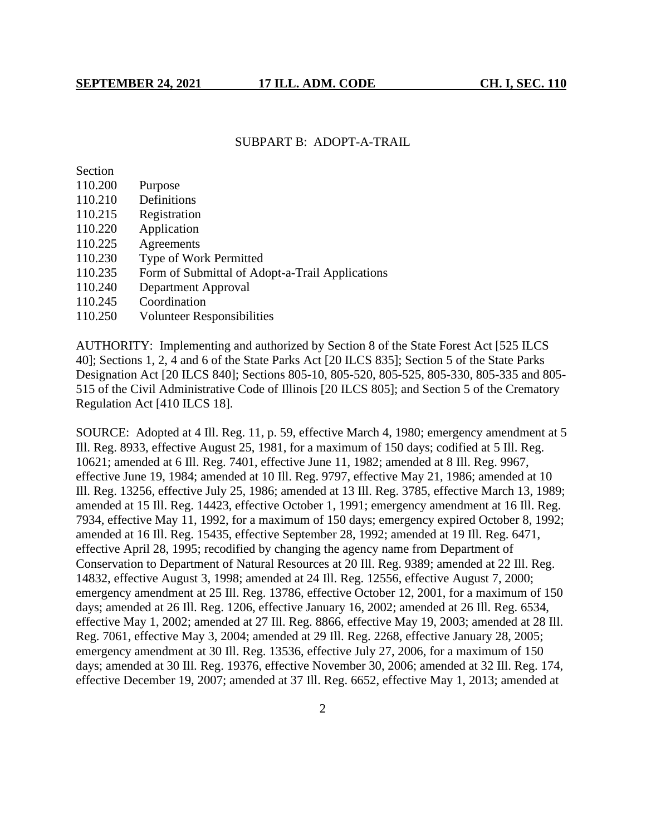#### SUBPART B: ADOPT-A-TRAIL

Section

- 110.200 Purpose
- 110.210 Definitions
- 110.215 Registration
- 110.220 Application
- 110.225 Agreements
- 110.230 Type of Work Permitted
- 110.235 Form of Submittal of Adopt-a-Trail Applications
- 110.240 Department Approval
- 110.245 Coordination
- 110.250 Volunteer Responsibilities

AUTHORITY: Implementing and authorized by Section 8 of the State Forest Act [525 ILCS 40]; Sections 1, 2, 4 and 6 of the State Parks Act [20 ILCS 835]; Section 5 of the State Parks Designation Act [20 ILCS 840]; Sections 805-10, 805-520, 805-525, 805-330, 805-335 and 805- 515 of the Civil Administrative Code of Illinois [20 ILCS 805]; and Section 5 of the Crematory Regulation Act [410 ILCS 18].

SOURCE: Adopted at 4 Ill. Reg. 11, p. 59, effective March 4, 1980; emergency amendment at 5 Ill. Reg. 8933, effective August 25, 1981, for a maximum of 150 days; codified at 5 Ill. Reg. 10621; amended at 6 Ill. Reg. 7401, effective June 11, 1982; amended at 8 Ill. Reg. 9967, effective June 19, 1984; amended at 10 Ill. Reg. 9797, effective May 21, 1986; amended at 10 Ill. Reg. 13256, effective July 25, 1986; amended at 13 Ill. Reg. 3785, effective March 13, 1989; amended at 15 Ill. Reg. 14423, effective October 1, 1991; emergency amendment at 16 Ill. Reg. 7934, effective May 11, 1992, for a maximum of 150 days; emergency expired October 8, 1992; amended at 16 Ill. Reg. 15435, effective September 28, 1992; amended at 19 Ill. Reg. 6471, effective April 28, 1995; recodified by changing the agency name from Department of Conservation to Department of Natural Resources at 20 Ill. Reg. 9389; amended at 22 Ill. Reg. 14832, effective August 3, 1998; amended at 24 Ill. Reg. 12556, effective August 7, 2000; emergency amendment at 25 Ill. Reg. 13786, effective October 12, 2001, for a maximum of 150 days; amended at 26 Ill. Reg. 1206, effective January 16, 2002; amended at 26 Ill. Reg. 6534, effective May 1, 2002; amended at 27 Ill. Reg. 8866, effective May 19, 2003; amended at 28 Ill. Reg. 7061, effective May 3, 2004; amended at 29 Ill. Reg. 2268, effective January 28, 2005; emergency amendment at 30 Ill. Reg. 13536, effective July 27, 2006, for a maximum of 150 days; amended at 30 Ill. Reg. 19376, effective November 30, 2006; amended at 32 Ill. Reg. 174, effective December 19, 2007; amended at 37 Ill. Reg. 6652, effective May 1, 2013; amended at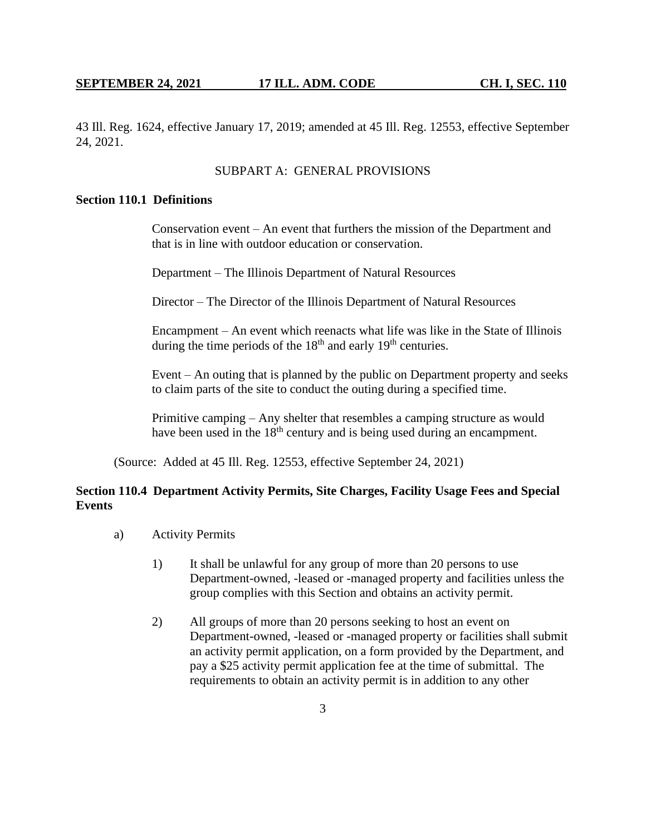43 Ill. Reg. 1624, effective January 17, 2019; amended at 45 Ill. Reg. 12553, effective September 24, 2021.

# SUBPART A: GENERAL PROVISIONS

## **Section 110.1 Definitions**

Conservation event – An event that furthers the mission of the Department and that is in line with outdoor education or conservation.

Department – The Illinois Department of Natural Resources

Director – The Director of the Illinois Department of Natural Resources

Encampment – An event which reenacts what life was like in the State of Illinois during the time periods of the  $18<sup>th</sup>$  and early  $19<sup>th</sup>$  centuries.

Event – An outing that is planned by the public on Department property and seeks to claim parts of the site to conduct the outing during a specified time.

Primitive camping – Any shelter that resembles a camping structure as would have been used in the 18<sup>th</sup> century and is being used during an encampment.

(Source: Added at 45 Ill. Reg. 12553, effective September 24, 2021)

# **Section 110.4 Department Activity Permits, Site Charges, Facility Usage Fees and Special Events**

- a) Activity Permits
	- 1) It shall be unlawful for any group of more than 20 persons to use Department-owned, -leased or -managed property and facilities unless the group complies with this Section and obtains an activity permit.
	- 2) All groups of more than 20 persons seeking to host an event on Department-owned, -leased or -managed property or facilities shall submit an activity permit application, on a form provided by the Department, and pay a \$25 activity permit application fee at the time of submittal. The requirements to obtain an activity permit is in addition to any other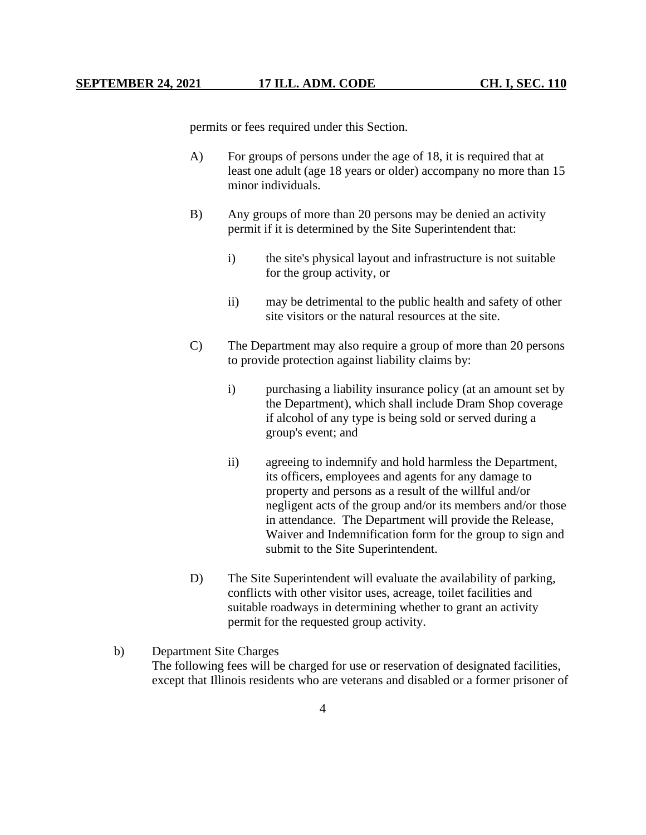permits or fees required under this Section.

- A) For groups of persons under the age of 18, it is required that at least one adult (age 18 years or older) accompany no more than 15 minor individuals.
- B) Any groups of more than 20 persons may be denied an activity permit if it is determined by the Site Superintendent that:
	- i) the site's physical layout and infrastructure is not suitable for the group activity, or
	- ii) may be detrimental to the public health and safety of other site visitors or the natural resources at the site.
- C) The Department may also require a group of more than 20 persons to provide protection against liability claims by:
	- i) purchasing a liability insurance policy (at an amount set by the Department), which shall include Dram Shop coverage if alcohol of any type is being sold or served during a group's event; and
	- ii) agreeing to indemnify and hold harmless the Department, its officers, employees and agents for any damage to property and persons as a result of the willful and/or negligent acts of the group and/or its members and/or those in attendance. The Department will provide the Release, Waiver and Indemnification form for the group to sign and submit to the Site Superintendent.
- D) The Site Superintendent will evaluate the availability of parking, conflicts with other visitor uses, acreage, toilet facilities and suitable roadways in determining whether to grant an activity permit for the requested group activity.

# b) Department Site Charges

The following fees will be charged for use or reservation of designated facilities, except that Illinois residents who are veterans and disabled or a former prisoner of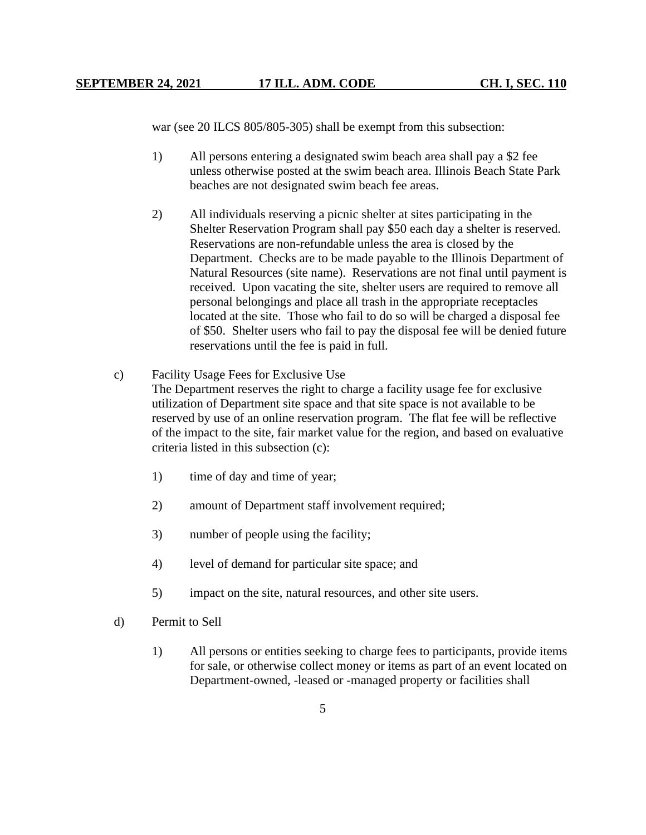war (see 20 ILCS 805/805-305) shall be exempt from this subsection:

- 1) All persons entering a designated swim beach area shall pay a \$2 fee unless otherwise posted at the swim beach area. Illinois Beach State Park beaches are not designated swim beach fee areas.
- 2) All individuals reserving a picnic shelter at sites participating in the Shelter Reservation Program shall pay \$50 each day a shelter is reserved. Reservations are non-refundable unless the area is closed by the Department. Checks are to be made payable to the Illinois Department of Natural Resources (site name). Reservations are not final until payment is received. Upon vacating the site, shelter users are required to remove all personal belongings and place all trash in the appropriate receptacles located at the site. Those who fail to do so will be charged a disposal fee of \$50. Shelter users who fail to pay the disposal fee will be denied future reservations until the fee is paid in full.
- c) Facility Usage Fees for Exclusive Use The Department reserves the right to charge a facility usage fee for exclusive utilization of Department site space and that site space is not available to be reserved by use of an online reservation program. The flat fee will be reflective of the impact to the site, fair market value for the region, and based on evaluative criteria listed in this subsection (c):
	- 1) time of day and time of year;
	- 2) amount of Department staff involvement required;
	- 3) number of people using the facility;
	- 4) level of demand for particular site space; and
	- 5) impact on the site, natural resources, and other site users.
- d) Permit to Sell
	- 1) All persons or entities seeking to charge fees to participants, provide items for sale, or otherwise collect money or items as part of an event located on Department-owned, -leased or -managed property or facilities shall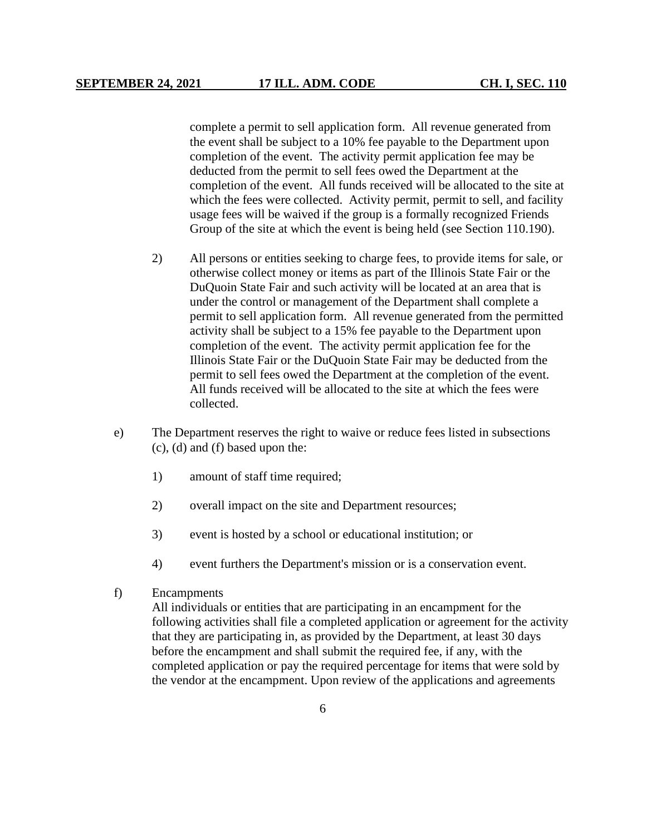complete a permit to sell application form. All revenue generated from the event shall be subject to a 10% fee payable to the Department upon completion of the event. The activity permit application fee may be deducted from the permit to sell fees owed the Department at the completion of the event. All funds received will be allocated to the site at which the fees were collected. Activity permit, permit to sell, and facility usage fees will be waived if the group is a formally recognized Friends Group of the site at which the event is being held (see Section 110.190).

- 2) All persons or entities seeking to charge fees, to provide items for sale, or otherwise collect money or items as part of the Illinois State Fair or the DuQuoin State Fair and such activity will be located at an area that is under the control or management of the Department shall complete a permit to sell application form. All revenue generated from the permitted activity shall be subject to a 15% fee payable to the Department upon completion of the event. The activity permit application fee for the Illinois State Fair or the DuQuoin State Fair may be deducted from the permit to sell fees owed the Department at the completion of the event. All funds received will be allocated to the site at which the fees were collected.
- e) The Department reserves the right to waive or reduce fees listed in subsections (c), (d) and (f) based upon the:
	- 1) amount of staff time required;
	- 2) overall impact on the site and Department resources;
	- 3) event is hosted by a school or educational institution; or
	- 4) event furthers the Department's mission or is a conservation event.
- f) Encampments

All individuals or entities that are participating in an encampment for the following activities shall file a completed application or agreement for the activity that they are participating in, as provided by the Department, at least 30 days before the encampment and shall submit the required fee, if any, with the completed application or pay the required percentage for items that were sold by the vendor at the encampment. Upon review of the applications and agreements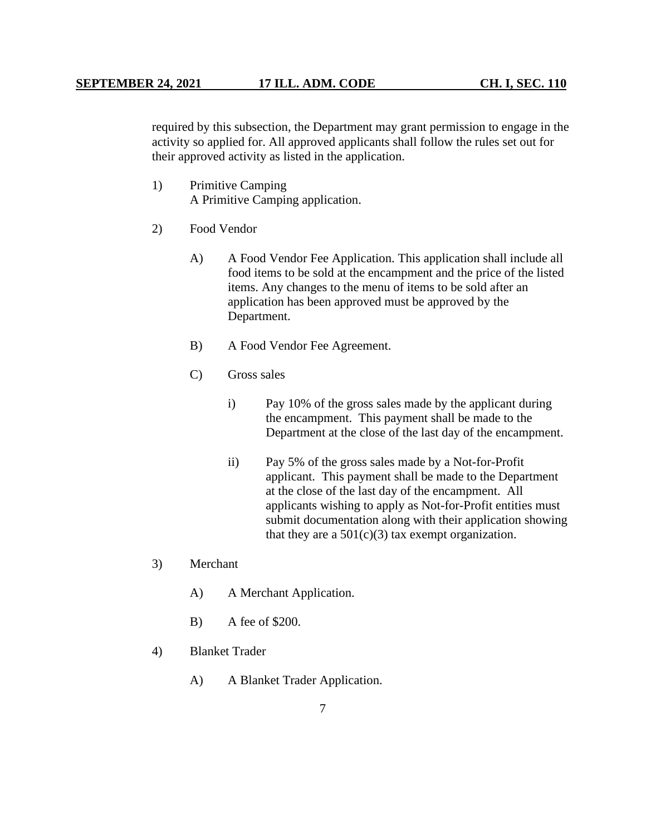required by this subsection, the Department may grant permission to engage in the activity so applied for. All approved applicants shall follow the rules set out for their approved activity as listed in the application.

- 1) Primitive Camping A Primitive Camping application.
- 2) Food Vendor
	- A) A Food Vendor Fee Application. This application shall include all food items to be sold at the encampment and the price of the listed items. Any changes to the menu of items to be sold after an application has been approved must be approved by the Department.
	- B) A Food Vendor Fee Agreement.
	- C) Gross sales
		- i) Pay 10% of the gross sales made by the applicant during the encampment. This payment shall be made to the Department at the close of the last day of the encampment.
		- ii) Pay 5% of the gross sales made by a Not-for-Profit applicant. This payment shall be made to the Department at the close of the last day of the encampment. All applicants wishing to apply as Not-for-Profit entities must submit documentation along with their application showing that they are a  $501(c)(3)$  tax exempt organization.
- 3) Merchant
	- A) A Merchant Application.
	- B) A fee of \$200.
- 4) Blanket Trader
	- A) A Blanket Trader Application.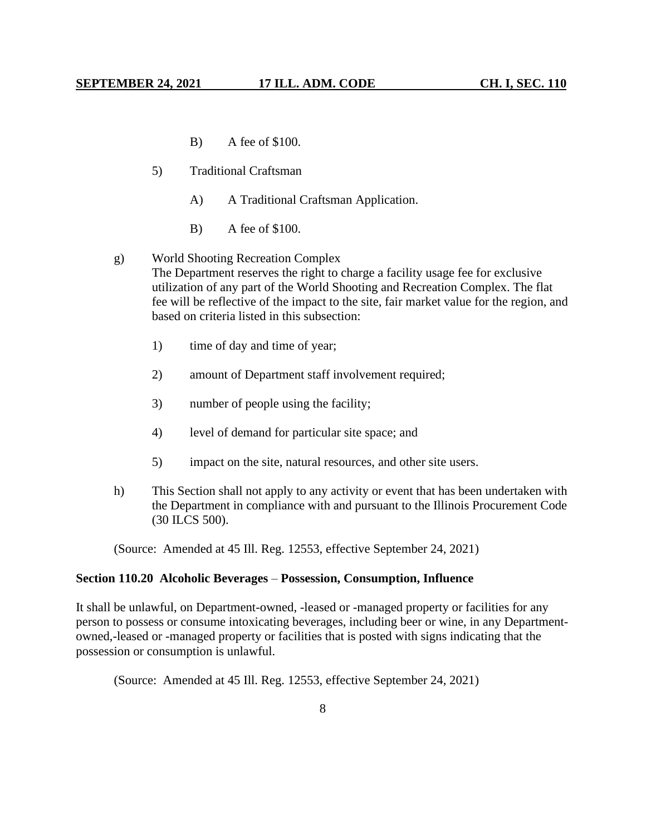- B) A fee of \$100.
- 5) Traditional Craftsman
	- A) A Traditional Craftsman Application.
	- B) A fee of \$100.
- g) World Shooting Recreation Complex The Department reserves the right to charge a facility usage fee for exclusive utilization of any part of the World Shooting and Recreation Complex. The flat fee will be reflective of the impact to the site, fair market value for the region, and based on criteria listed in this subsection:
	- 1) time of day and time of year;
	- 2) amount of Department staff involvement required;
	- 3) number of people using the facility;
	- 4) level of demand for particular site space; and
	- 5) impact on the site, natural resources, and other site users.
- h) This Section shall not apply to any activity or event that has been undertaken with the Department in compliance with and pursuant to the Illinois Procurement Code (30 ILCS 500).

(Source: Amended at 45 Ill. Reg. 12553, effective September 24, 2021)

#### **Section 110.20 Alcoholic Beverages** – **Possession, Consumption, Influence**

It shall be unlawful, on Department-owned, -leased or -managed property or facilities for any person to possess or consume intoxicating beverages, including beer or wine, in any Departmentowned,-leased or -managed property or facilities that is posted with signs indicating that the possession or consumption is unlawful.

(Source: Amended at 45 Ill. Reg. 12553, effective September 24, 2021)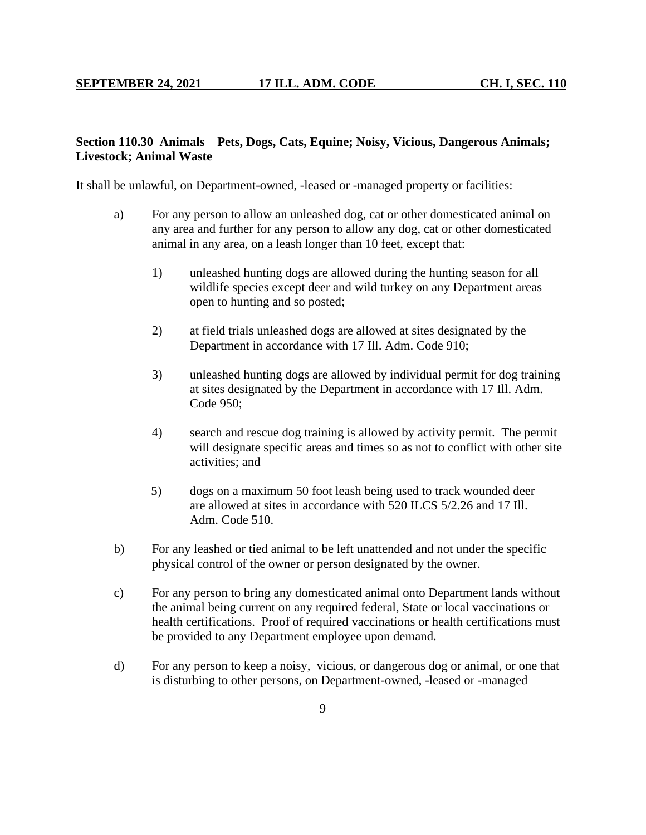# **Section 110.30 Animals** – **Pets, Dogs, Cats, Equine; Noisy, Vicious, Dangerous Animals; Livestock; Animal Waste**

It shall be unlawful, on Department-owned, -leased or -managed property or facilities:

- a) For any person to allow an unleashed dog, cat or other domesticated animal on any area and further for any person to allow any dog, cat or other domesticated animal in any area, on a leash longer than 10 feet, except that:
	- 1) unleashed hunting dogs are allowed during the hunting season for all wildlife species except deer and wild turkey on any Department areas open to hunting and so posted;
	- 2) at field trials unleashed dogs are allowed at sites designated by the Department in accordance with 17 Ill. Adm. Code 910;
	- 3) unleashed hunting dogs are allowed by individual permit for dog training at sites designated by the Department in accordance with 17 Ill. Adm. Code 950;
	- 4) search and rescue dog training is allowed by activity permit. The permit will designate specific areas and times so as not to conflict with other site activities; and
	- 5) dogs on a maximum 50 foot leash being used to track wounded deer are allowed at sites in accordance with 520 ILCS 5/2.26 and 17 Ill. Adm. Code 510.
- b) For any leashed or tied animal to be left unattended and not under the specific physical control of the owner or person designated by the owner.
- c) For any person to bring any domesticated animal onto Department lands without the animal being current on any required federal, State or local vaccinations or health certifications. Proof of required vaccinations or health certifications must be provided to any Department employee upon demand.
- d) For any person to keep a noisy, vicious, or dangerous dog or animal, or one that is disturbing to other persons, on Department-owned, -leased or -managed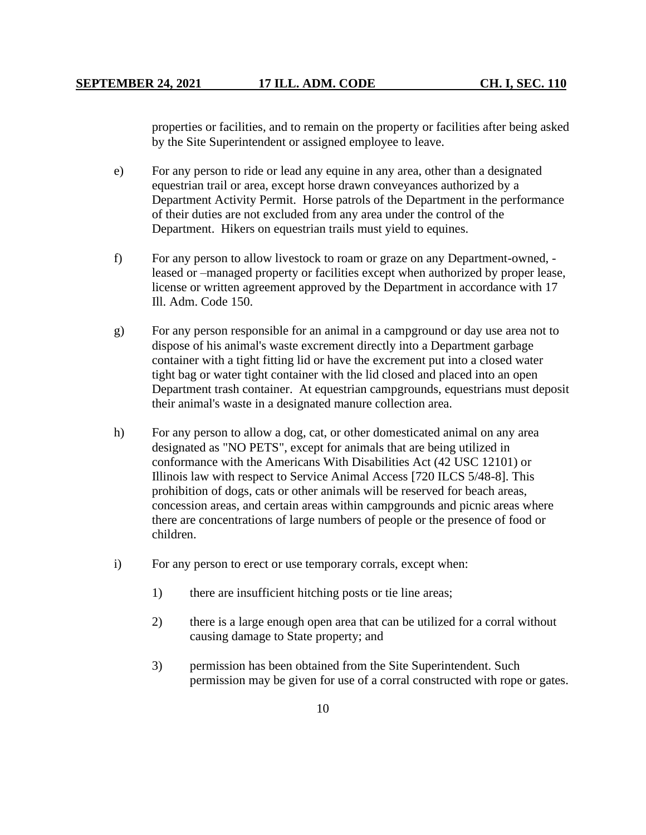properties or facilities, and to remain on the property or facilities after being asked by the Site Superintendent or assigned employee to leave.

- e) For any person to ride or lead any equine in any area, other than a designated equestrian trail or area, except horse drawn conveyances authorized by a Department Activity Permit. Horse patrols of the Department in the performance of their duties are not excluded from any area under the control of the Department. Hikers on equestrian trails must yield to equines.
- f) For any person to allow livestock to roam or graze on any Department-owned, leased or –managed property or facilities except when authorized by proper lease, license or written agreement approved by the Department in accordance with 17 Ill. Adm. Code 150.
- g) For any person responsible for an animal in a campground or day use area not to dispose of his animal's waste excrement directly into a Department garbage container with a tight fitting lid or have the excrement put into a closed water tight bag or water tight container with the lid closed and placed into an open Department trash container. At equestrian campgrounds, equestrians must deposit their animal's waste in a designated manure collection area.
- h) For any person to allow a dog, cat, or other domesticated animal on any area designated as "NO PETS", except for animals that are being utilized in conformance with the Americans With Disabilities Act (42 USC 12101) or Illinois law with respect to Service Animal Access [720 ILCS 5/48-8]. This prohibition of dogs, cats or other animals will be reserved for beach areas, concession areas, and certain areas within campgrounds and picnic areas where there are concentrations of large numbers of people or the presence of food or children.
- i) For any person to erect or use temporary corrals, except when:
	- 1) there are insufficient hitching posts or tie line areas;
	- 2) there is a large enough open area that can be utilized for a corral without causing damage to State property; and
	- 3) permission has been obtained from the Site Superintendent. Such permission may be given for use of a corral constructed with rope or gates.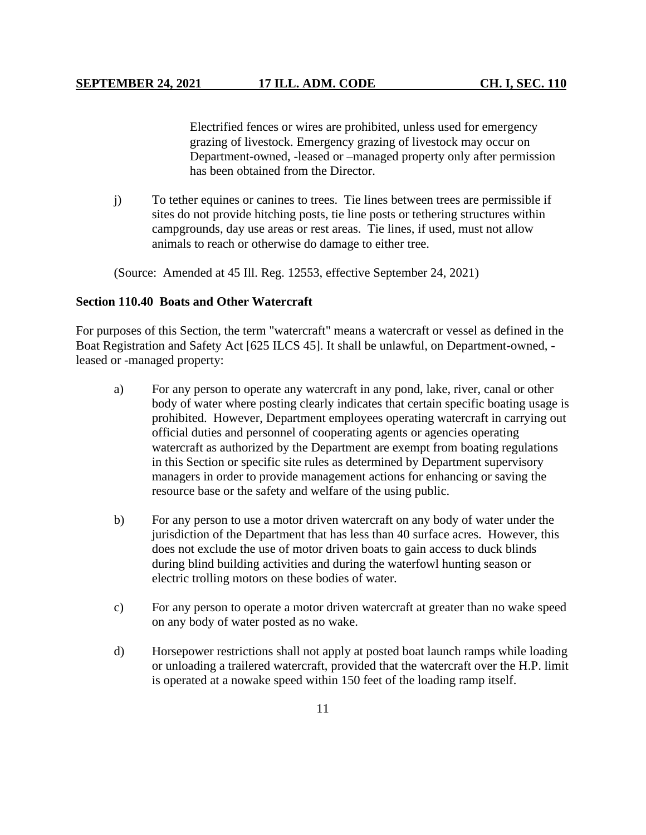Electrified fences or wires are prohibited, unless used for emergency grazing of livestock. Emergency grazing of livestock may occur on Department-owned, -leased or –managed property only after permission has been obtained from the Director.

j) To tether equines or canines to trees. Tie lines between trees are permissible if sites do not provide hitching posts, tie line posts or tethering structures within campgrounds, day use areas or rest areas. Tie lines, if used, must not allow animals to reach or otherwise do damage to either tree.

(Source: Amended at 45 Ill. Reg. 12553, effective September 24, 2021)

# **Section 110.40 Boats and Other Watercraft**

For purposes of this Section, the term "watercraft" means a watercraft or vessel as defined in the Boat Registration and Safety Act [625 ILCS 45]. It shall be unlawful, on Department-owned, leased or -managed property:

- a) For any person to operate any watercraft in any pond, lake, river, canal or other body of water where posting clearly indicates that certain specific boating usage is prohibited. However, Department employees operating watercraft in carrying out official duties and personnel of cooperating agents or agencies operating watercraft as authorized by the Department are exempt from boating regulations in this Section or specific site rules as determined by Department supervisory managers in order to provide management actions for enhancing or saving the resource base or the safety and welfare of the using public.
- b) For any person to use a motor driven watercraft on any body of water under the jurisdiction of the Department that has less than 40 surface acres. However, this does not exclude the use of motor driven boats to gain access to duck blinds during blind building activities and during the waterfowl hunting season or electric trolling motors on these bodies of water.
- c) For any person to operate a motor driven watercraft at greater than no wake speed on any body of water posted as no wake.
- d) Horsepower restrictions shall not apply at posted boat launch ramps while loading or unloading a trailered watercraft, provided that the watercraft over the H.P. limit is operated at a nowake speed within 150 feet of the loading ramp itself.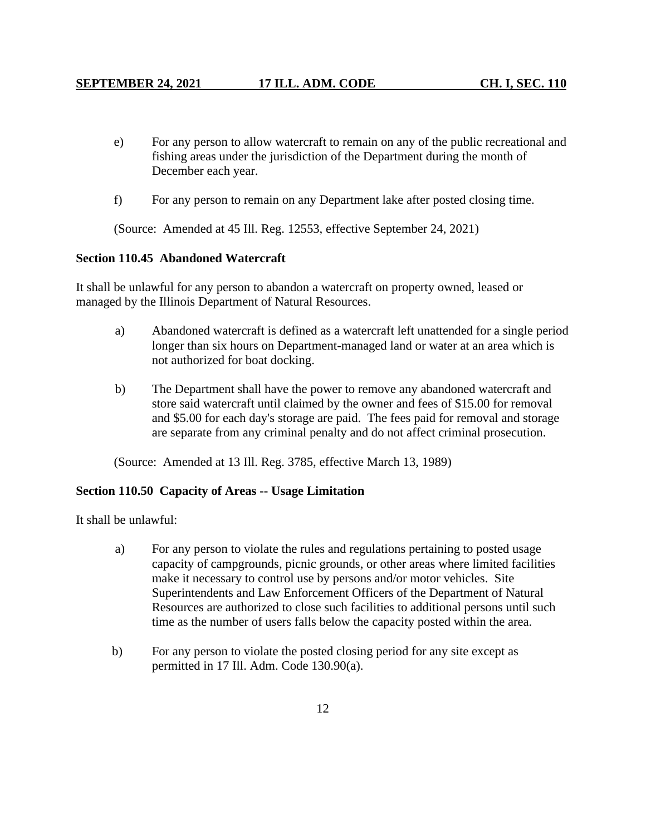- e) For any person to allow watercraft to remain on any of the public recreational and fishing areas under the jurisdiction of the Department during the month of December each year.
- f) For any person to remain on any Department lake after posted closing time.

(Source: Amended at 45 Ill. Reg. 12553, effective September 24, 2021)

# **Section 110.45 Abandoned Watercraft**

It shall be unlawful for any person to abandon a watercraft on property owned, leased or managed by the Illinois Department of Natural Resources.

- a) Abandoned watercraft is defined as a watercraft left unattended for a single period longer than six hours on Department-managed land or water at an area which is not authorized for boat docking.
- b) The Department shall have the power to remove any abandoned watercraft and store said watercraft until claimed by the owner and fees of \$15.00 for removal and \$5.00 for each day's storage are paid. The fees paid for removal and storage are separate from any criminal penalty and do not affect criminal prosecution.

(Source: Amended at 13 Ill. Reg. 3785, effective March 13, 1989)

# **Section 110.50 Capacity of Areas -- Usage Limitation**

It shall be unlawful:

- a) For any person to violate the rules and regulations pertaining to posted usage capacity of campgrounds, picnic grounds, or other areas where limited facilities make it necessary to control use by persons and/or motor vehicles. Site Superintendents and Law Enforcement Officers of the Department of Natural Resources are authorized to close such facilities to additional persons until such time as the number of users falls below the capacity posted within the area.
- b) For any person to violate the posted closing period for any site except as permitted in 17 Ill. Adm. Code 130.90(a).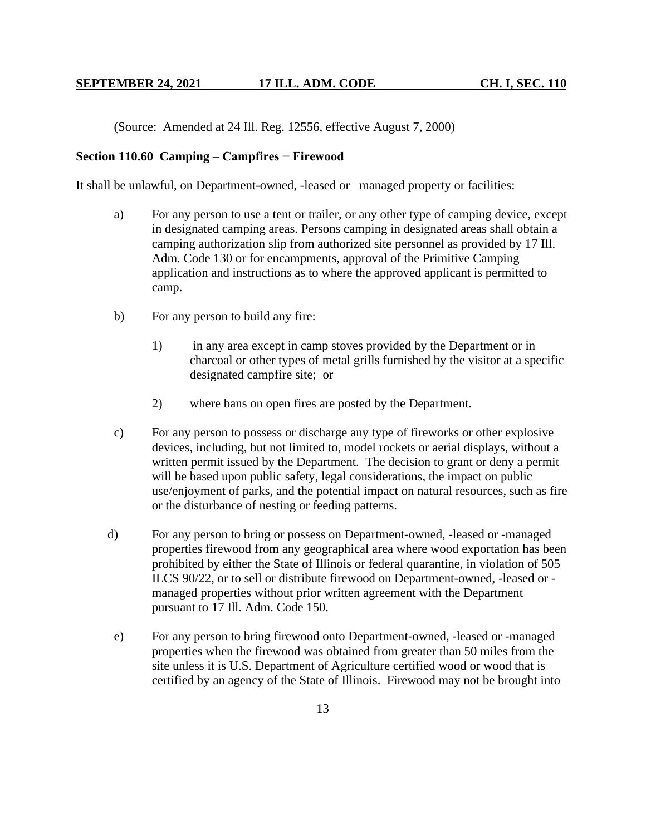(Source: Amended at 24 Ill. Reg. 12556, effective August 7, 2000)

# **Section 110.60 Camping** – **Campfires − Firewood**

It shall be unlawful, on Department-owned, -leased or –managed property or facilities:

- a) For any person to use a tent or trailer, or any other type of camping device, except in designated camping areas. Persons camping in designated areas shall obtain a camping authorization slip from authorized site personnel as provided by 17 Ill. Adm. Code 130 or for encampments, approval of the Primitive Camping application and instructions as to where the approved applicant is permitted to camp.
- b) For any person to build any fire:
	- 1) in any area except in camp stoves provided by the Department or in charcoal or other types of metal grills furnished by the visitor at a specific designated campfire site; or
	- 2) where bans on open fires are posted by the Department.
- c) For any person to possess or discharge any type of fireworks or other explosive devices, including, but not limited to, model rockets or aerial displays, without a written permit issued by the Department. The decision to grant or deny a permit will be based upon public safety, legal considerations, the impact on public use/enjoyment of parks, and the potential impact on natural resources, such as fire or the disturbance of nesting or feeding patterns.
- d) For any person to bring or possess on Department-owned, -leased or -managed properties firewood from any geographical area where wood exportation has been prohibited by either the State of Illinois or federal quarantine, in violation of 505 ILCS 90/22, or to sell or distribute firewood on Department-owned, -leased or managed properties without prior written agreement with the Department pursuant to 17 Ill. Adm. Code 150.
- e) For any person to bring firewood onto Department-owned, -leased or -managed properties when the firewood was obtained from greater than 50 miles from the site unless it is U.S. Department of Agriculture certified wood or wood that is certified by an agency of the State of Illinois. Firewood may not be brought into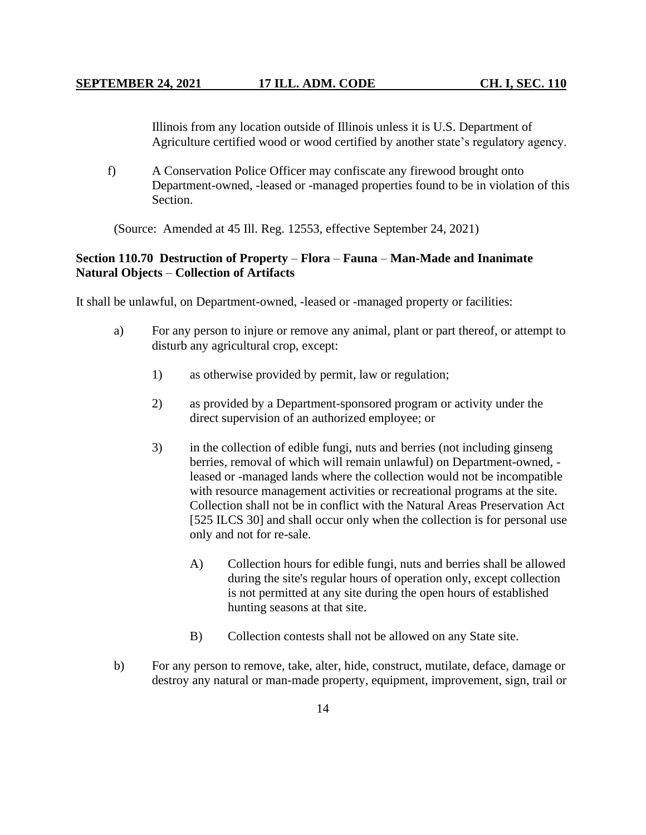Illinois from any location outside of Illinois unless it is U.S. Department of Agriculture certified wood or wood certified by another state's regulatory agency.

f) A Conservation Police Officer may confiscate any firewood brought onto Department-owned, -leased or -managed properties found to be in violation of this Section.

(Source: Amended at 45 Ill. Reg. 12553, effective September 24, 2021)

# **Section 110.70 Destruction of Property** – **Flora** – **Fauna** – **Man-Made and Inanimate Natural Objects** – **Collection of Artifacts**

It shall be unlawful, on Department-owned, -leased or -managed property or facilities:

- a) For any person to injure or remove any animal, plant or part thereof, or attempt to disturb any agricultural crop, except:
	- 1) as otherwise provided by permit, law or regulation;
	- 2) as provided by a Department-sponsored program or activity under the direct supervision of an authorized employee; or
	- 3) in the collection of edible fungi, nuts and berries (not including ginseng berries, removal of which will remain unlawful) on Department-owned, leased or -managed lands where the collection would not be incompatible with resource management activities or recreational programs at the site. Collection shall not be in conflict with the Natural Areas Preservation Act [525 ILCS 30] and shall occur only when the collection is for personal use only and not for re-sale.
		- A) Collection hours for edible fungi, nuts and berries shall be allowed during the site's regular hours of operation only, except collection is not permitted at any site during the open hours of established hunting seasons at that site.
		- B) Collection contests shall not be allowed on any State site.
- b) For any person to remove, take, alter, hide, construct, mutilate, deface, damage or destroy any natural or man-made property, equipment, improvement, sign, trail or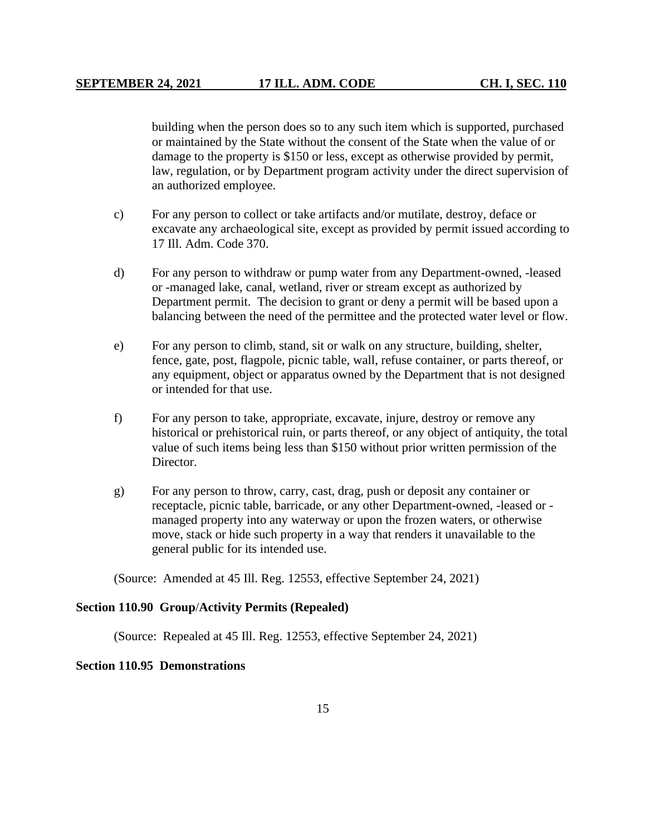building when the person does so to any such item which is supported, purchased or maintained by the State without the consent of the State when the value of or damage to the property is \$150 or less, except as otherwise provided by permit, law, regulation, or by Department program activity under the direct supervision of an authorized employee.

- c) For any person to collect or take artifacts and/or mutilate, destroy, deface or excavate any archaeological site, except as provided by permit issued according to 17 Ill. Adm. Code 370.
- d) For any person to withdraw or pump water from any Department-owned, -leased or -managed lake, canal, wetland, river or stream except as authorized by Department permit. The decision to grant or deny a permit will be based upon a balancing between the need of the permittee and the protected water level or flow.
- e) For any person to climb, stand, sit or walk on any structure, building, shelter, fence, gate, post, flagpole, picnic table, wall, refuse container, or parts thereof, or any equipment, object or apparatus owned by the Department that is not designed or intended for that use.
- f) For any person to take, appropriate, excavate, injure, destroy or remove any historical or prehistorical ruin, or parts thereof, or any object of antiquity, the total value of such items being less than \$150 without prior written permission of the Director.
- g) For any person to throw, carry, cast, drag, push or deposit any container or receptacle, picnic table, barricade, or any other Department-owned, -leased or managed property into any waterway or upon the frozen waters, or otherwise move, stack or hide such property in a way that renders it unavailable to the general public for its intended use.

(Source: Amended at 45 Ill. Reg. 12553, effective September 24, 2021)

#### **Section 110.90 Group**/**Activity Permits (Repealed)**

(Source: Repealed at 45 Ill. Reg. 12553, effective September 24, 2021)

#### **Section 110.95 Demonstrations**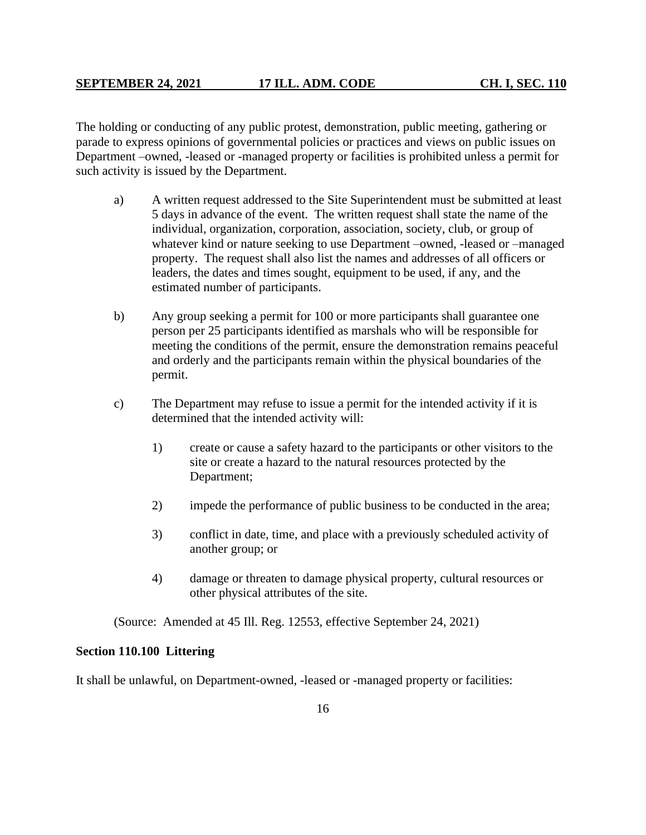The holding or conducting of any public protest, demonstration, public meeting, gathering or parade to express opinions of governmental policies or practices and views on public issues on Department –owned, -leased or -managed property or facilities is prohibited unless a permit for such activity is issued by the Department.

- a) A written request addressed to the Site Superintendent must be submitted at least 5 days in advance of the event. The written request shall state the name of the individual, organization, corporation, association, society, club, or group of whatever kind or nature seeking to use Department –owned, -leased or –managed property. The request shall also list the names and addresses of all officers or leaders, the dates and times sought, equipment to be used, if any, and the estimated number of participants.
- b) Any group seeking a permit for 100 or more participants shall guarantee one person per 25 participants identified as marshals who will be responsible for meeting the conditions of the permit, ensure the demonstration remains peaceful and orderly and the participants remain within the physical boundaries of the permit.
- c) The Department may refuse to issue a permit for the intended activity if it is determined that the intended activity will:
	- 1) create or cause a safety hazard to the participants or other visitors to the site or create a hazard to the natural resources protected by the Department;
	- 2) impede the performance of public business to be conducted in the area;
	- 3) conflict in date, time, and place with a previously scheduled activity of another group; or
	- 4) damage or threaten to damage physical property, cultural resources or other physical attributes of the site.

(Source: Amended at 45 Ill. Reg. 12553, effective September 24, 2021)

# **Section 110.100 Littering**

It shall be unlawful, on Department-owned, -leased or -managed property or facilities: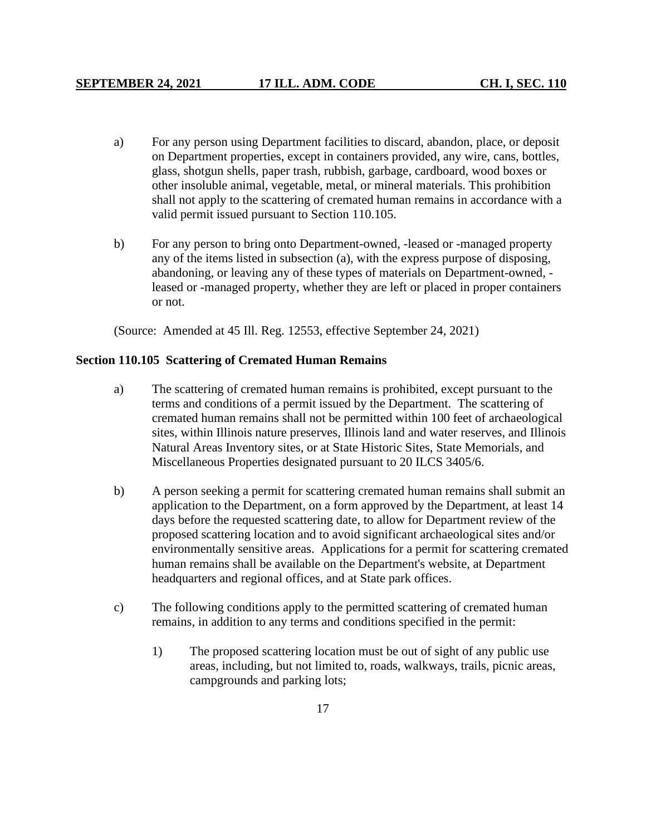- a) For any person using Department facilities to discard, abandon, place, or deposit on Department properties, except in containers provided, any wire, cans, bottles, glass, shotgun shells, paper trash, rubbish, garbage, cardboard, wood boxes or other insoluble animal, vegetable, metal, or mineral materials. This prohibition shall not apply to the scattering of cremated human remains in accordance with a valid permit issued pursuant to Section 110.105.
- b) For any person to bring onto Department-owned, -leased or -managed property any of the items listed in subsection (a), with the express purpose of disposing, abandoning, or leaving any of these types of materials on Department-owned, leased or -managed property, whether they are left or placed in proper containers or not.

(Source: Amended at 45 Ill. Reg. 12553, effective September 24, 2021)

#### **Section 110.105 Scattering of Cremated Human Remains**

- a) The scattering of cremated human remains is prohibited, except pursuant to the terms and conditions of a permit issued by the Department. The scattering of cremated human remains shall not be permitted within 100 feet of archaeological sites, within Illinois nature preserves, Illinois land and water reserves, and Illinois Natural Areas Inventory sites, or at State Historic Sites, State Memorials, and Miscellaneous Properties designated pursuant to 20 ILCS 3405/6.
- b) A person seeking a permit for scattering cremated human remains shall submit an application to the Department, on a form approved by the Department, at least 14 days before the requested scattering date, to allow for Department review of the proposed scattering location and to avoid significant archaeological sites and/or environmentally sensitive areas. Applications for a permit for scattering cremated human remains shall be available on the Department's website, at Department headquarters and regional offices, and at State park offices.
- c) The following conditions apply to the permitted scattering of cremated human remains, in addition to any terms and conditions specified in the permit:
	- 1) The proposed scattering location must be out of sight of any public use areas, including, but not limited to, roads, walkways, trails, picnic areas, campgrounds and parking lots;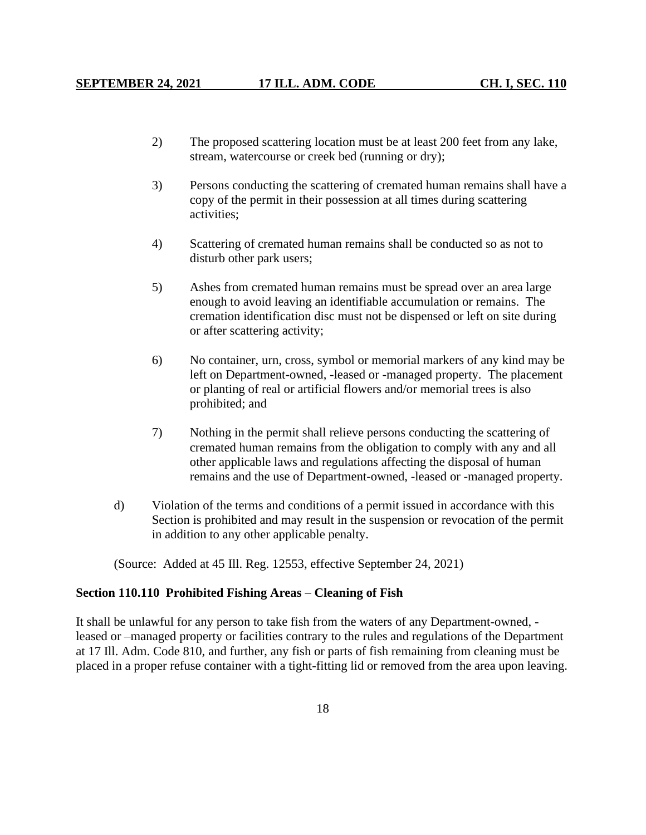- 2) The proposed scattering location must be at least 200 feet from any lake, stream, watercourse or creek bed (running or dry);
- 3) Persons conducting the scattering of cremated human remains shall have a copy of the permit in their possession at all times during scattering activities;
- 4) Scattering of cremated human remains shall be conducted so as not to disturb other park users;
- 5) Ashes from cremated human remains must be spread over an area large enough to avoid leaving an identifiable accumulation or remains. The cremation identification disc must not be dispensed or left on site during or after scattering activity;
- 6) No container, urn, cross, symbol or memorial markers of any kind may be left on Department-owned, -leased or -managed property. The placement or planting of real or artificial flowers and/or memorial trees is also prohibited; and
- 7) Nothing in the permit shall relieve persons conducting the scattering of cremated human remains from the obligation to comply with any and all other applicable laws and regulations affecting the disposal of human remains and the use of Department-owned, -leased or -managed property.
- d) Violation of the terms and conditions of a permit issued in accordance with this Section is prohibited and may result in the suspension or revocation of the permit in addition to any other applicable penalty.

(Source: Added at 45 Ill. Reg. 12553, effective September 24, 2021)

## **Section 110.110 Prohibited Fishing Areas** – **Cleaning of Fish**

It shall be unlawful for any person to take fish from the waters of any Department-owned, leased or –managed property or facilities contrary to the rules and regulations of the Department at 17 Ill. Adm. Code 810, and further, any fish or parts of fish remaining from cleaning must be placed in a proper refuse container with a tight-fitting lid or removed from the area upon leaving.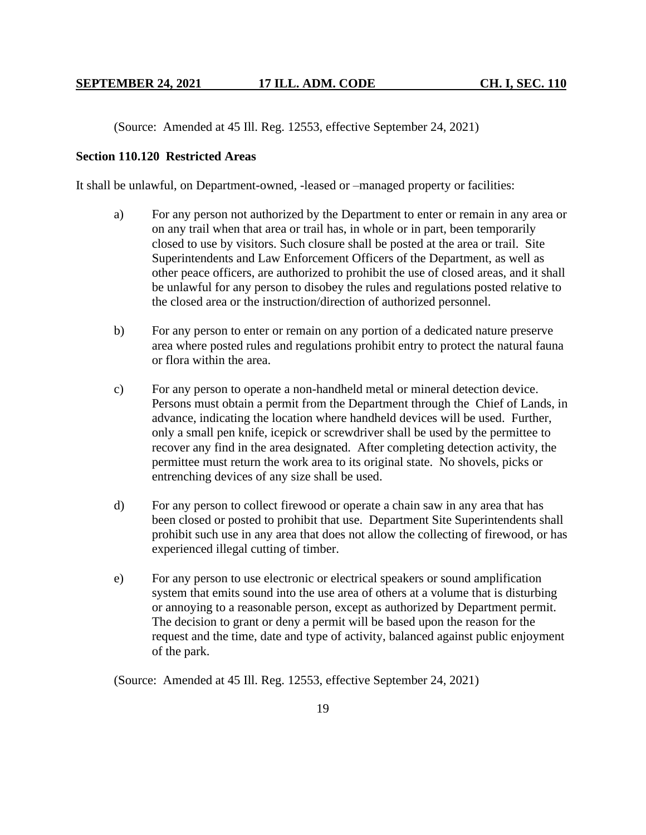(Source: Amended at 45 Ill. Reg. 12553, effective September 24, 2021)

# **Section 110.120 Restricted Areas**

It shall be unlawful, on Department-owned, -leased or –managed property or facilities:

- a) For any person not authorized by the Department to enter or remain in any area or on any trail when that area or trail has, in whole or in part, been temporarily closed to use by visitors. Such closure shall be posted at the area or trail. Site Superintendents and Law Enforcement Officers of the Department, as well as other peace officers, are authorized to prohibit the use of closed areas, and it shall be unlawful for any person to disobey the rules and regulations posted relative to the closed area or the instruction/direction of authorized personnel.
- b) For any person to enter or remain on any portion of a dedicated nature preserve area where posted rules and regulations prohibit entry to protect the natural fauna or flora within the area.
- c) For any person to operate a non-handheld metal or mineral detection device. Persons must obtain a permit from the Department through the Chief of Lands, in advance, indicating the location where handheld devices will be used. Further, only a small pen knife, icepick or screwdriver shall be used by the permittee to recover any find in the area designated. After completing detection activity, the permittee must return the work area to its original state. No shovels, picks or entrenching devices of any size shall be used.
- d) For any person to collect firewood or operate a chain saw in any area that has been closed or posted to prohibit that use. Department Site Superintendents shall prohibit such use in any area that does not allow the collecting of firewood, or has experienced illegal cutting of timber.
- e) For any person to use electronic or electrical speakers or sound amplification system that emits sound into the use area of others at a volume that is disturbing or annoying to a reasonable person, except as authorized by Department permit. The decision to grant or deny a permit will be based upon the reason for the request and the time, date and type of activity, balanced against public enjoyment of the park.

(Source: Amended at 45 Ill. Reg. 12553, effective September 24, 2021)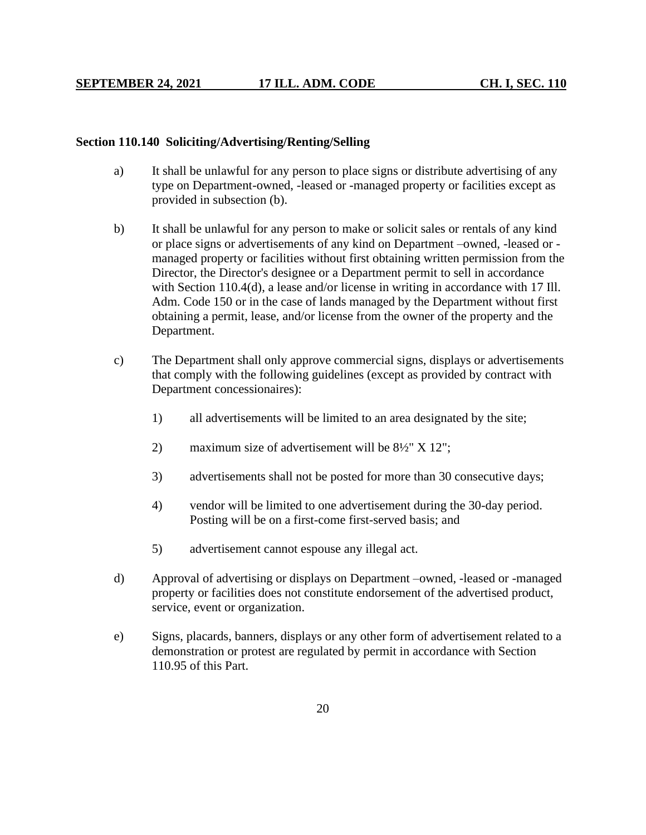#### **Section 110.140 Soliciting/Advertising/Renting/Selling**

- a) It shall be unlawful for any person to place signs or distribute advertising of any type on Department-owned, -leased or -managed property or facilities except as provided in subsection (b).
- b) It shall be unlawful for any person to make or solicit sales or rentals of any kind or place signs or advertisements of any kind on Department –owned, -leased or managed property or facilities without first obtaining written permission from the Director, the Director's designee or a Department permit to sell in accordance with Section 110.4(d), a lease and/or license in writing in accordance with 17 Ill. Adm. Code 150 or in the case of lands managed by the Department without first obtaining a permit, lease, and/or license from the owner of the property and the Department.
- c) The Department shall only approve commercial signs, displays or advertisements that comply with the following guidelines (except as provided by contract with Department concessionaires):
	- 1) all advertisements will be limited to an area designated by the site;
	- 2) maximum size of advertisement will be 8½" X 12";
	- 3) advertisements shall not be posted for more than 30 consecutive days;
	- 4) vendor will be limited to one advertisement during the 30-day period. Posting will be on a first-come first-served basis; and
	- 5) advertisement cannot espouse any illegal act.
- d) Approval of advertising or displays on Department –owned, -leased or -managed property or facilities does not constitute endorsement of the advertised product, service, event or organization.
- e) Signs, placards, banners, displays or any other form of advertisement related to a demonstration or protest are regulated by permit in accordance with Section 110.95 of this Part.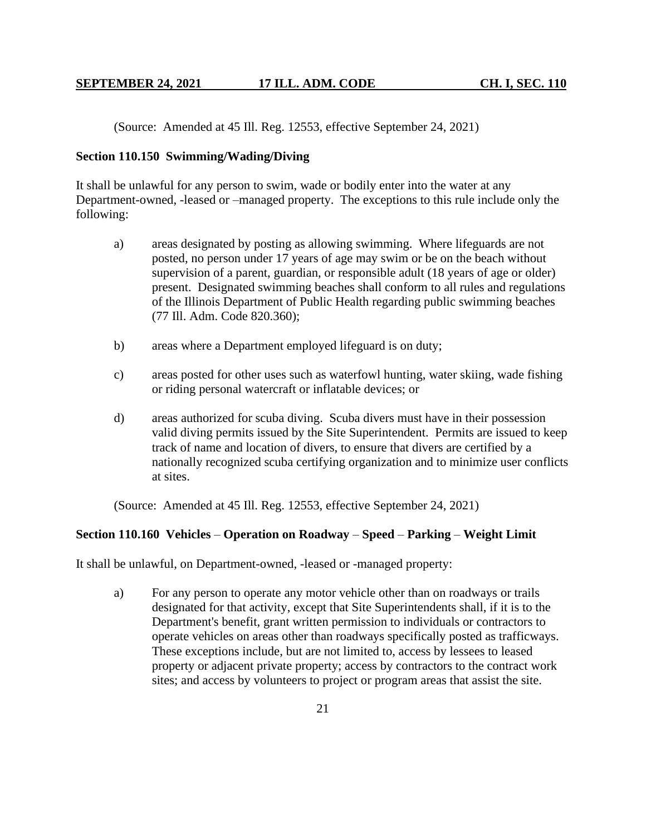(Source: Amended at 45 Ill. Reg. 12553, effective September 24, 2021)

## **Section 110.150 Swimming/Wading/Diving**

It shall be unlawful for any person to swim, wade or bodily enter into the water at any Department-owned, -leased or –managed property. The exceptions to this rule include only the following:

- a) areas designated by posting as allowing swimming. Where lifeguards are not posted, no person under 17 years of age may swim or be on the beach without supervision of a parent, guardian, or responsible adult (18 years of age or older) present. Designated swimming beaches shall conform to all rules and regulations of the Illinois Department of Public Health regarding public swimming beaches (77 Ill. Adm. Code 820.360);
- b) areas where a Department employed lifeguard is on duty;
- c) areas posted for other uses such as waterfowl hunting, water skiing, wade fishing or riding personal watercraft or inflatable devices; or
- d) areas authorized for scuba diving. Scuba divers must have in their possession valid diving permits issued by the Site Superintendent. Permits are issued to keep track of name and location of divers, to ensure that divers are certified by a nationally recognized scuba certifying organization and to minimize user conflicts at sites.

(Source: Amended at 45 Ill. Reg. 12553, effective September 24, 2021)

# **Section 110.160 Vehicles** – **Operation on Roadway** – **Speed** – **Parking** – **Weight Limit**

It shall be unlawful, on Department-owned, -leased or -managed property:

a) For any person to operate any motor vehicle other than on roadways or trails designated for that activity, except that Site Superintendents shall, if it is to the Department's benefit, grant written permission to individuals or contractors to operate vehicles on areas other than roadways specifically posted as trafficways. These exceptions include, but are not limited to, access by lessees to leased property or adjacent private property; access by contractors to the contract work sites; and access by volunteers to project or program areas that assist the site.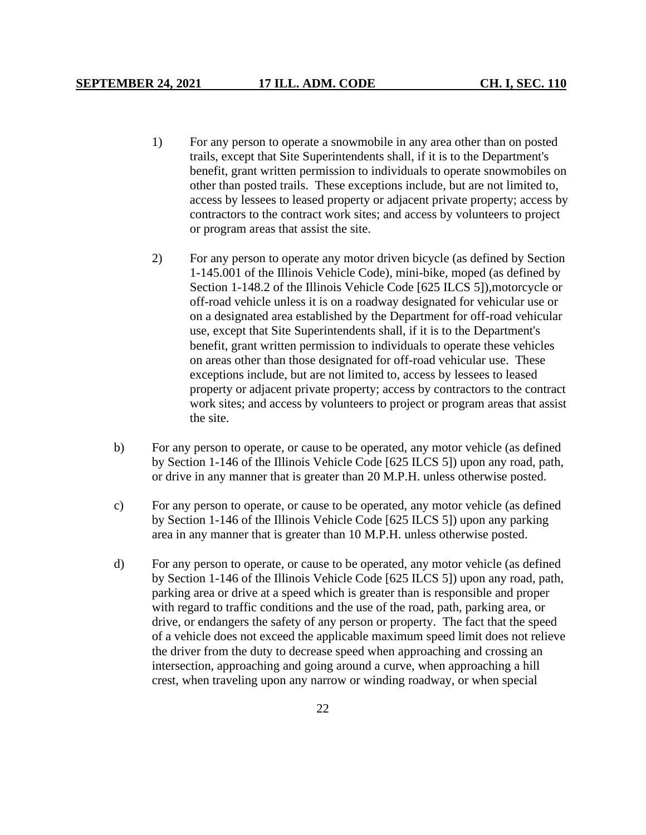- 1) For any person to operate a snowmobile in any area other than on posted trails, except that Site Superintendents shall, if it is to the Department's benefit, grant written permission to individuals to operate snowmobiles on other than posted trails. These exceptions include, but are not limited to, access by lessees to leased property or adjacent private property; access by contractors to the contract work sites; and access by volunteers to project or program areas that assist the site.
- 2) For any person to operate any motor driven bicycle (as defined by Section 1-145.001 of the Illinois Vehicle Code), mini-bike, moped (as defined by Section 1-148.2 of the Illinois Vehicle Code [625 ILCS 5]),motorcycle or off-road vehicle unless it is on a roadway designated for vehicular use or on a designated area established by the Department for off-road vehicular use, except that Site Superintendents shall, if it is to the Department's benefit, grant written permission to individuals to operate these vehicles on areas other than those designated for off-road vehicular use. These exceptions include, but are not limited to, access by lessees to leased property or adjacent private property; access by contractors to the contract work sites; and access by volunteers to project or program areas that assist the site.
- b) For any person to operate, or cause to be operated, any motor vehicle (as defined by Section 1-146 of the Illinois Vehicle Code [625 ILCS 5]) upon any road, path, or drive in any manner that is greater than 20 M.P.H. unless otherwise posted.
- c) For any person to operate, or cause to be operated, any motor vehicle (as defined by Section 1-146 of the Illinois Vehicle Code [625 ILCS 5]) upon any parking area in any manner that is greater than 10 M.P.H. unless otherwise posted.
- d) For any person to operate, or cause to be operated, any motor vehicle (as defined by Section 1-146 of the Illinois Vehicle Code [625 ILCS 5]) upon any road, path, parking area or drive at a speed which is greater than is responsible and proper with regard to traffic conditions and the use of the road, path, parking area, or drive, or endangers the safety of any person or property. The fact that the speed of a vehicle does not exceed the applicable maximum speed limit does not relieve the driver from the duty to decrease speed when approaching and crossing an intersection, approaching and going around a curve, when approaching a hill crest, when traveling upon any narrow or winding roadway, or when special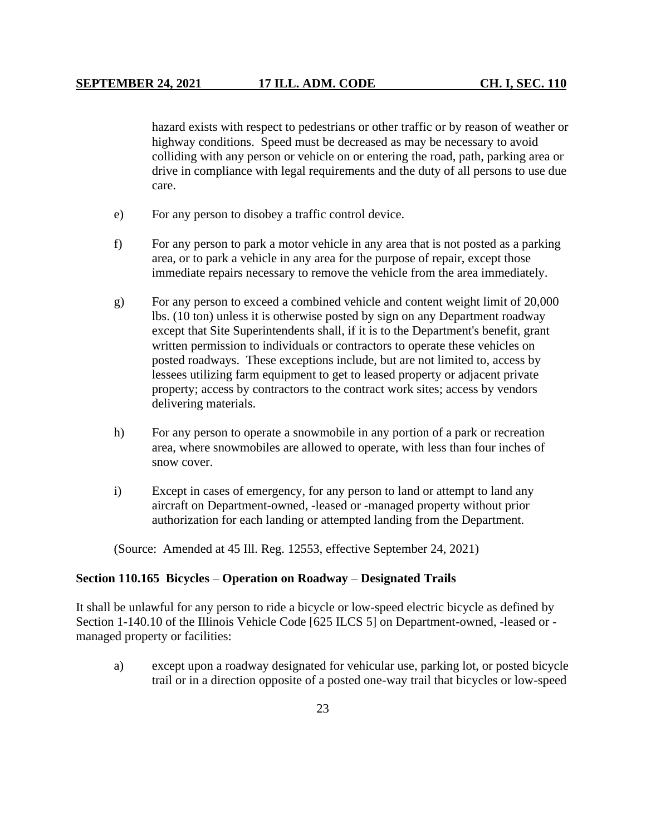hazard exists with respect to pedestrians or other traffic or by reason of weather or highway conditions. Speed must be decreased as may be necessary to avoid colliding with any person or vehicle on or entering the road, path, parking area or drive in compliance with legal requirements and the duty of all persons to use due care.

- e) For any person to disobey a traffic control device.
- f) For any person to park a motor vehicle in any area that is not posted as a parking area, or to park a vehicle in any area for the purpose of repair, except those immediate repairs necessary to remove the vehicle from the area immediately.
- g) For any person to exceed a combined vehicle and content weight limit of 20,000 lbs. (10 ton) unless it is otherwise posted by sign on any Department roadway except that Site Superintendents shall, if it is to the Department's benefit, grant written permission to individuals or contractors to operate these vehicles on posted roadways. These exceptions include, but are not limited to, access by lessees utilizing farm equipment to get to leased property or adjacent private property; access by contractors to the contract work sites; access by vendors delivering materials.
- h) For any person to operate a snowmobile in any portion of a park or recreation area, where snowmobiles are allowed to operate, with less than four inches of snow cover.
- i) Except in cases of emergency, for any person to land or attempt to land any aircraft on Department-owned, -leased or -managed property without prior authorization for each landing or attempted landing from the Department.

(Source: Amended at 45 Ill. Reg. 12553, effective September 24, 2021)

#### **Section 110.165 Bicycles** – **Operation on Roadway** – **Designated Trails**

It shall be unlawful for any person to ride a bicycle or low-speed electric bicycle as defined by Section 1-140.10 of the Illinois Vehicle Code [625 ILCS 5] on Department-owned, -leased or managed property or facilities:

a) except upon a roadway designated for vehicular use, parking lot, or posted bicycle trail or in a direction opposite of a posted one-way trail that bicycles or low-speed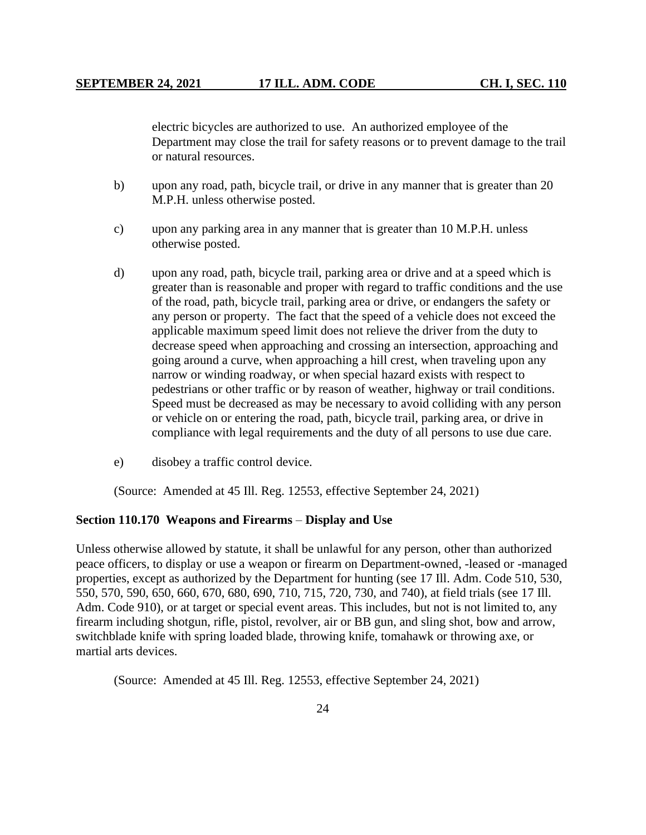electric bicycles are authorized to use. An authorized employee of the Department may close the trail for safety reasons or to prevent damage to the trail or natural resources.

- b) upon any road, path, bicycle trail, or drive in any manner that is greater than 20 M.P.H. unless otherwise posted.
- c) upon any parking area in any manner that is greater than 10 M.P.H. unless otherwise posted.
- d) upon any road, path, bicycle trail, parking area or drive and at a speed which is greater than is reasonable and proper with regard to traffic conditions and the use of the road, path, bicycle trail, parking area or drive, or endangers the safety or any person or property. The fact that the speed of a vehicle does not exceed the applicable maximum speed limit does not relieve the driver from the duty to decrease speed when approaching and crossing an intersection, approaching and going around a curve, when approaching a hill crest, when traveling upon any narrow or winding roadway, or when special hazard exists with respect to pedestrians or other traffic or by reason of weather, highway or trail conditions. Speed must be decreased as may be necessary to avoid colliding with any person or vehicle on or entering the road, path, bicycle trail, parking area, or drive in compliance with legal requirements and the duty of all persons to use due care.
- e) disobey a traffic control device.

(Source: Amended at 45 Ill. Reg. 12553, effective September 24, 2021)

#### **Section 110.170 Weapons and Firearms** – **Display and Use**

Unless otherwise allowed by statute, it shall be unlawful for any person, other than authorized peace officers, to display or use a weapon or firearm on Department-owned, -leased or -managed properties, except as authorized by the Department for hunting (see 17 Ill. Adm. Code 510, 530, 550, 570, 590, 650, 660, 670, 680, 690, 710, 715, 720, 730, and 740), at field trials (see 17 Ill. Adm. Code 910), or at target or special event areas. This includes, but not is not limited to, any firearm including shotgun, rifle, pistol, revolver, air or BB gun, and sling shot, bow and arrow, switchblade knife with spring loaded blade, throwing knife, tomahawk or throwing axe, or martial arts devices.

(Source: Amended at 45 Ill. Reg. 12553, effective September 24, 2021)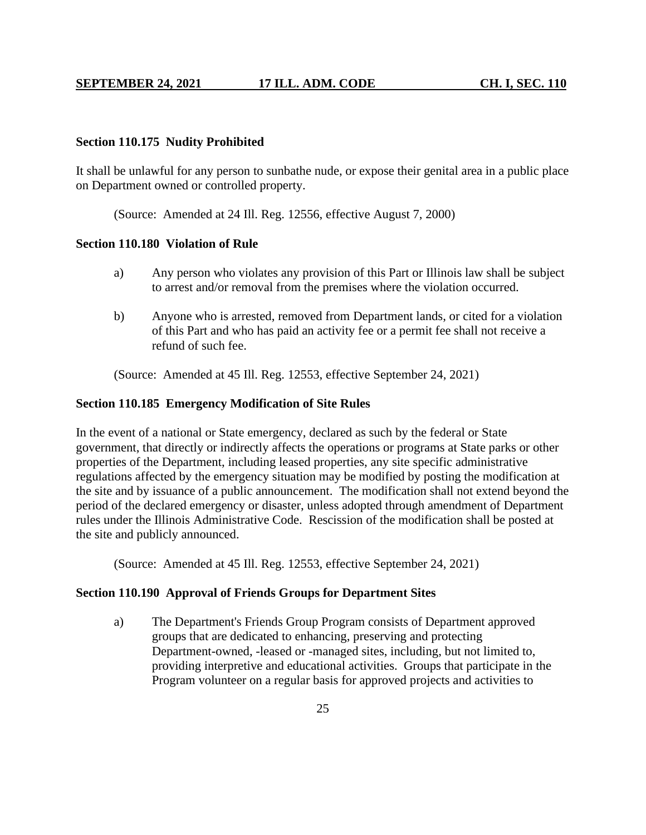## **Section 110.175 Nudity Prohibited**

It shall be unlawful for any person to sunbathe nude, or expose their genital area in a public place on Department owned or controlled property.

(Source: Amended at 24 Ill. Reg. 12556, effective August 7, 2000)

# **Section 110.180 Violation of Rule**

- a) Any person who violates any provision of this Part or Illinois law shall be subject to arrest and/or removal from the premises where the violation occurred.
- b) Anyone who is arrested, removed from Department lands, or cited for a violation of this Part and who has paid an activity fee or a permit fee shall not receive a refund of such fee.

(Source: Amended at 45 Ill. Reg. 12553, effective September 24, 2021)

## **Section 110.185 Emergency Modification of Site Rules**

In the event of a national or State emergency, declared as such by the federal or State government, that directly or indirectly affects the operations or programs at State parks or other properties of the Department, including leased properties, any site specific administrative regulations affected by the emergency situation may be modified by posting the modification at the site and by issuance of a public announcement. The modification shall not extend beyond the period of the declared emergency or disaster, unless adopted through amendment of Department rules under the Illinois Administrative Code. Rescission of the modification shall be posted at the site and publicly announced.

(Source: Amended at 45 Ill. Reg. 12553, effective September 24, 2021)

## **Section 110.190 Approval of Friends Groups for Department Sites**

a) The Department's Friends Group Program consists of Department approved groups that are dedicated to enhancing, preserving and protecting Department-owned, -leased or -managed sites, including, but not limited to, providing interpretive and educational activities. Groups that participate in the Program volunteer on a regular basis for approved projects and activities to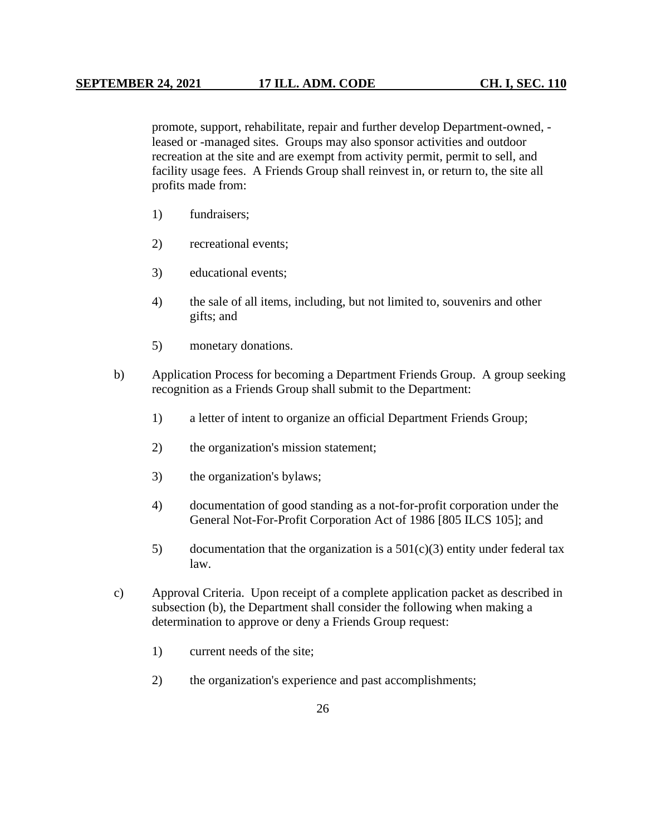promote, support, rehabilitate, repair and further develop Department-owned, leased or -managed sites. Groups may also sponsor activities and outdoor recreation at the site and are exempt from activity permit, permit to sell, and facility usage fees. A Friends Group shall reinvest in, or return to, the site all profits made from:

- 1) fundraisers;
- 2) recreational events;
- 3) educational events;
- 4) the sale of all items, including, but not limited to, souvenirs and other gifts; and
- 5) monetary donations.
- b) Application Process for becoming a Department Friends Group. A group seeking recognition as a Friends Group shall submit to the Department:
	- 1) a letter of intent to organize an official Department Friends Group;
	- 2) the organization's mission statement;
	- 3) the organization's bylaws;
	- 4) documentation of good standing as a not-for-profit corporation under the General Not-For-Profit Corporation Act of 1986 [805 ILCS 105]; and
	- 5) documentation that the organization is a  $501(c)(3)$  entity under federal tax law.
- c) Approval Criteria. Upon receipt of a complete application packet as described in subsection (b), the Department shall consider the following when making a determination to approve or deny a Friends Group request:
	- 1) current needs of the site;
	- 2) the organization's experience and past accomplishments;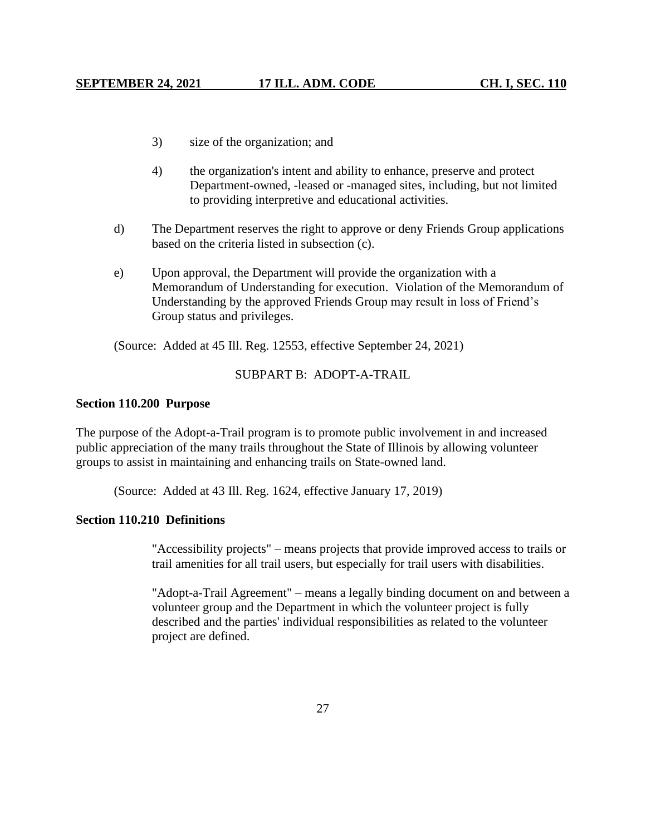- 3) size of the organization; and
- 4) the organization's intent and ability to enhance, preserve and protect Department-owned, -leased or -managed sites, including, but not limited to providing interpretive and educational activities.
- d) The Department reserves the right to approve or deny Friends Group applications based on the criteria listed in subsection (c).
- e) Upon approval, the Department will provide the organization with a Memorandum of Understanding for execution. Violation of the Memorandum of Understanding by the approved Friends Group may result in loss of Friend's Group status and privileges.

(Source: Added at 45 Ill. Reg. 12553, effective September 24, 2021)

#### SUBPART B: ADOPT-A-TRAIL

#### **Section 110.200 Purpose**

The purpose of the Adopt-a-Trail program is to promote public involvement in and increased public appreciation of the many trails throughout the State of Illinois by allowing volunteer groups to assist in maintaining and enhancing trails on State-owned land.

(Source: Added at 43 Ill. Reg. 1624, effective January 17, 2019)

# **Section 110.210 Definitions**

"Accessibility projects" – means projects that provide improved access to trails or trail amenities for all trail users, but especially for trail users with disabilities.

"Adopt-a-Trail Agreement" – means a legally binding document on and between a volunteer group and the Department in which the volunteer project is fully described and the parties' individual responsibilities as related to the volunteer project are defined.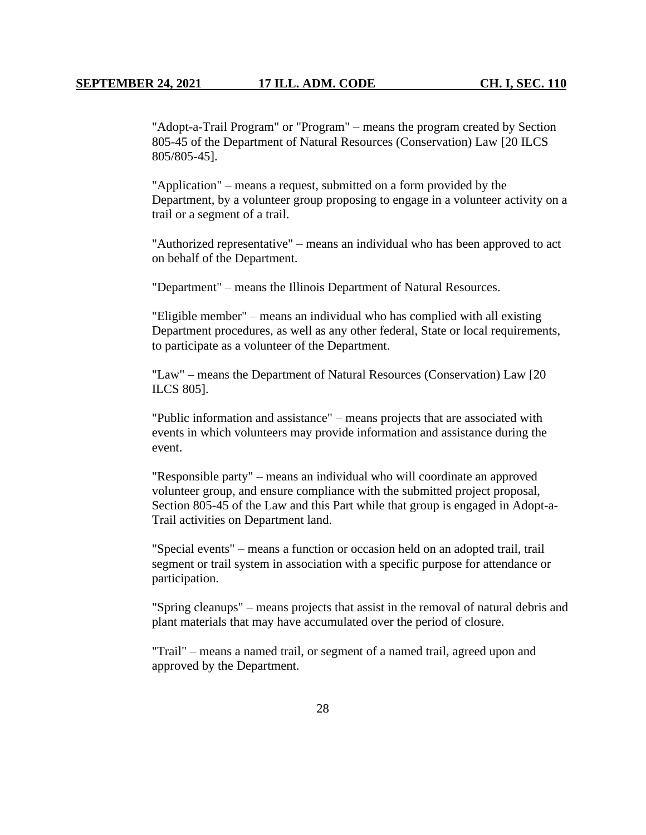"Adopt-a-Trail Program" or "Program" – means the program created by Section 805-45 of the Department of Natural Resources (Conservation) Law [20 ILCS 805/805-45].

"Application" – means a request, submitted on a form provided by the Department, by a volunteer group proposing to engage in a volunteer activity on a trail or a segment of a trail.

"Authorized representative" – means an individual who has been approved to act on behalf of the Department.

"Department" – means the Illinois Department of Natural Resources.

"Eligible member" – means an individual who has complied with all existing Department procedures, as well as any other federal, State or local requirements, to participate as a volunteer of the Department.

"Law" – means the Department of Natural Resources (Conservation) Law [20 ILCS 805].

"Public information and assistance" – means projects that are associated with events in which volunteers may provide information and assistance during the event.

"Responsible party" – means an individual who will coordinate an approved volunteer group, and ensure compliance with the submitted project proposal, Section 805-45 of the Law and this Part while that group is engaged in Adopt-a-Trail activities on Department land.

"Special events" – means a function or occasion held on an adopted trail, trail segment or trail system in association with a specific purpose for attendance or participation.

"Spring cleanups" – means projects that assist in the removal of natural debris and plant materials that may have accumulated over the period of closure.

"Trail" – means a named trail, or segment of a named trail, agreed upon and approved by the Department.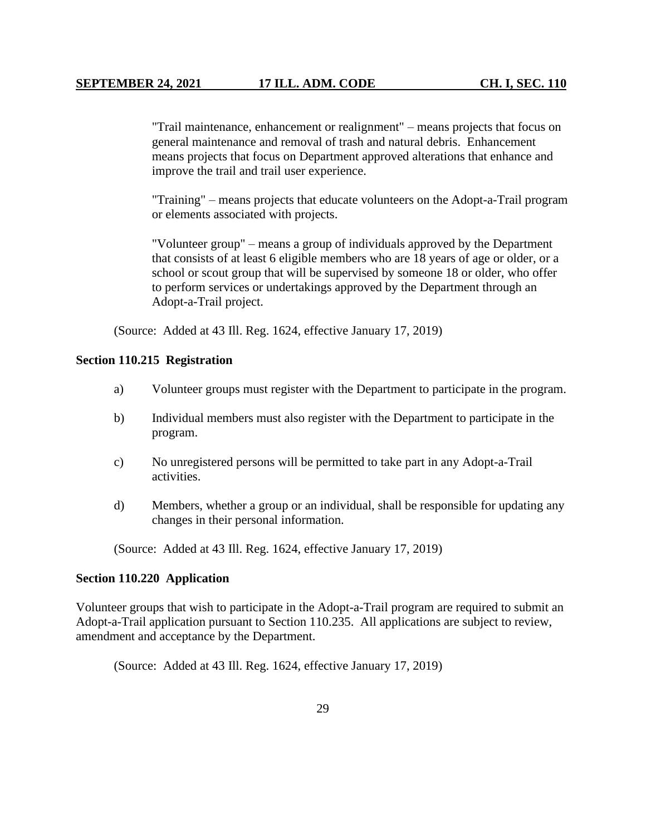"Trail maintenance, enhancement or realignment" – means projects that focus on general maintenance and removal of trash and natural debris. Enhancement means projects that focus on Department approved alterations that enhance and improve the trail and trail user experience.

"Training" – means projects that educate volunteers on the Adopt-a-Trail program or elements associated with projects.

"Volunteer group" – means a group of individuals approved by the Department that consists of at least 6 eligible members who are 18 years of age or older, or a school or scout group that will be supervised by someone 18 or older, who offer to perform services or undertakings approved by the Department through an Adopt-a-Trail project.

(Source: Added at 43 Ill. Reg. 1624, effective January 17, 2019)

#### **Section 110.215 Registration**

- a) Volunteer groups must register with the Department to participate in the program.
- b) Individual members must also register with the Department to participate in the program.
- c) No unregistered persons will be permitted to take part in any Adopt-a-Trail activities.
- d) Members, whether a group or an individual, shall be responsible for updating any changes in their personal information.

(Source: Added at 43 Ill. Reg. 1624, effective January 17, 2019)

#### **Section 110.220 Application**

Volunteer groups that wish to participate in the Adopt-a-Trail program are required to submit an Adopt-a-Trail application pursuant to Section 110.235. All applications are subject to review, amendment and acceptance by the Department.

(Source: Added at 43 Ill. Reg. 1624, effective January 17, 2019)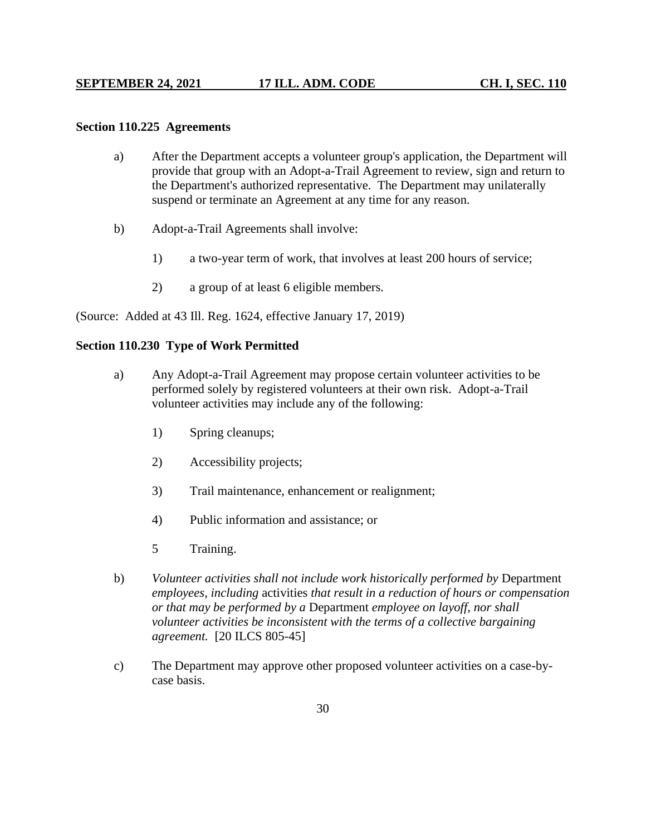## **Section 110.225 Agreements**

- a) After the Department accepts a volunteer group's application, the Department will provide that group with an Adopt-a-Trail Agreement to review, sign and return to the Department's authorized representative. The Department may unilaterally suspend or terminate an Agreement at any time for any reason.
- b) Adopt-a-Trail Agreements shall involve:
	- 1) a two-year term of work, that involves at least 200 hours of service;
	- 2) a group of at least 6 eligible members.

(Source: Added at 43 Ill. Reg. 1624, effective January 17, 2019)

# **Section 110.230 Type of Work Permitted**

- a) Any Adopt-a-Trail Agreement may propose certain volunteer activities to be performed solely by registered volunteers at their own risk. Adopt-a-Trail volunteer activities may include any of the following:
	- 1) Spring cleanups;
	- 2) Accessibility projects;
	- 3) Trail maintenance, enhancement or realignment;
	- 4) Public information and assistance; or
	- 5 Training.
- b) *Volunteer activities shall not include work historically performed by* Department *employees, including* activities *that result in a reduction of hours or compensation or that may be performed by a* Department *employee on layoff, nor shall volunteer activities be inconsistent with the terms of a collective bargaining agreement.* [20 ILCS 805-45]
- c) The Department may approve other proposed volunteer activities on a case-bycase basis.